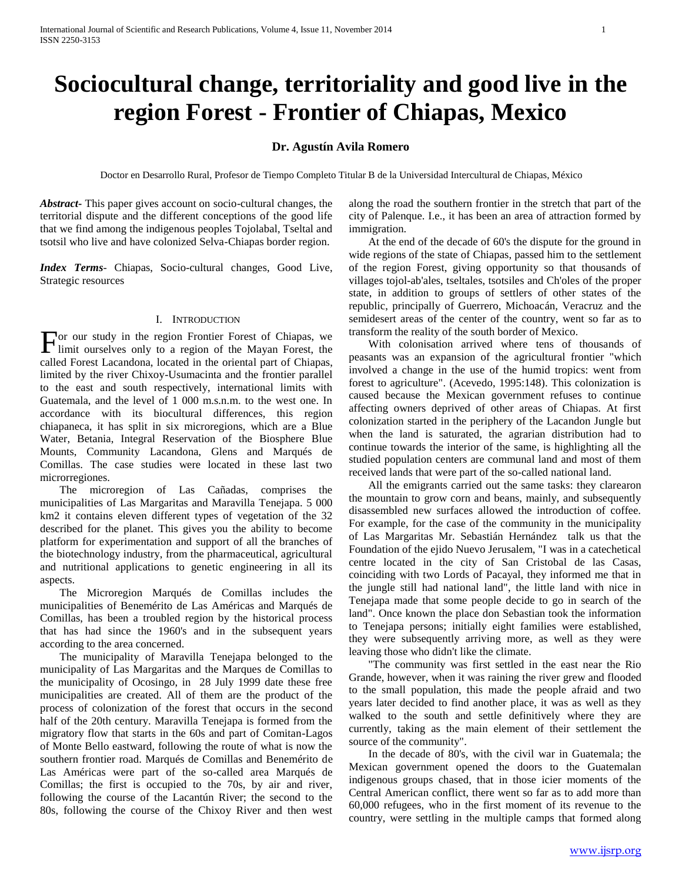# **Sociocultural change, territoriality and good live in the region Forest - Frontier of Chiapas, Mexico**

## **Dr. Agustín Avila Romero**

Doctor en Desarrollo Rural, Profesor de Tiempo Completo Titular B de la Universidad Intercultural de Chiapas, México

*Abstract***-** This paper gives account on socio-cultural changes, the territorial dispute and the different conceptions of the good life that we find among the indigenous peoples Tojolabal, Tseltal and tsotsil who live and have colonized Selva-Chiapas border region.

*Index Terms*- Chiapas, Socio-cultural changes, Good Live, Strategic resources

### I. INTRODUCTION

or our study in the region Frontier Forest of Chiapas, we For our study in the region Frontier Forest of Chiapas, we limit ourselves only to a region of the Mayan Forest, the called Forest Lacandona, located in the oriental part of Chiapas, limited by the river Chixoy-Usumacinta and the frontier parallel to the east and south respectively, international limits with Guatemala, and the level of 1 000 m.s.n.m. to the west one. In accordance with its biocultural differences, this region chiapaneca, it has split in six microregions, which are a Blue Water, Betania, Integral Reservation of the Biosphere Blue Mounts, Community Lacandona, Glens and Marqués de Comillas. The case studies were located in these last two microrregiones.

 The microregion of Las Cañadas, comprises the municipalities of Las Margaritas and Maravilla Tenejapa. 5 000 km2 it contains eleven different types of vegetation of the 32 described for the planet. This gives you the ability to become platform for experimentation and support of all the branches of the biotechnology industry, from the pharmaceutical, agricultural and nutritional applications to genetic engineering in all its aspects.

 The Microregion Marqués de Comillas includes the municipalities of Benemérito de Las Américas and Marqués de Comillas, has been a troubled region by the historical process that has had since the 1960's and in the subsequent years according to the area concerned.

 The municipality of Maravilla Tenejapa belonged to the municipality of Las Margaritas and the Marques de Comillas to the municipality of Ocosingo, in 28 July 1999 date these free municipalities are created. All of them are the product of the process of colonization of the forest that occurs in the second half of the 20th century. Maravilla Tenejapa is formed from the migratory flow that starts in the 60s and part of Comitan-Lagos of Monte Bello eastward, following the route of what is now the southern frontier road. Marqués de Comillas and Benemérito de Las Américas were part of the so-called area Marqués de Comillas; the first is occupied to the 70s, by air and river, following the course of the Lacantún River; the second to the 80s, following the course of the Chixoy River and then west along the road the southern frontier in the stretch that part of the city of Palenque. I.e., it has been an area of attraction formed by immigration.

 At the end of the decade of 60's the dispute for the ground in wide regions of the state of Chiapas, passed him to the settlement of the region Forest, giving opportunity so that thousands of villages tojol-ab'ales, tseltales, tsotsiles and Ch'oles of the proper state, in addition to groups of settlers of other states of the republic, principally of Guerrero, Michoacán, Veracruz and the semidesert areas of the center of the country, went so far as to transform the reality of the south border of Mexico.

 With colonisation arrived where tens of thousands of peasants was an expansion of the agricultural frontier "which involved a change in the use of the humid tropics: went from forest to agriculture". (Acevedo, 1995:148). This colonization is caused because the Mexican government refuses to continue affecting owners deprived of other areas of Chiapas. At first colonization started in the periphery of the Lacandon Jungle but when the land is saturated, the agrarian distribution had to continue towards the interior of the same, is highlighting all the studied population centers are communal land and most of them received lands that were part of the so-called national land.

 All the emigrants carried out the same tasks: they clarearon the mountain to grow corn and beans, mainly, and subsequently disassembled new surfaces allowed the introduction of coffee. For example, for the case of the community in the municipality of Las Margaritas Mr. Sebastián Hernández talk us that the Foundation of the ejido Nuevo Jerusalem, "I was in a catechetical centre located in the city of San Cristobal de las Casas, coinciding with two Lords of Pacayal, they informed me that in the jungle still had national land", the little land with nice in Tenejapa made that some people decide to go in search of the land". Once known the place don Sebastian took the information to Tenejapa persons; initially eight families were established, they were subsequently arriving more, as well as they were leaving those who didn't like the climate.

 "The community was first settled in the east near the Rio Grande, however, when it was raining the river grew and flooded to the small population, this made the people afraid and two years later decided to find another place, it was as well as they walked to the south and settle definitively where they are currently, taking as the main element of their settlement the source of the community".

 In the decade of 80's, with the civil war in Guatemala; the Mexican government opened the doors to the Guatemalan indigenous groups chased, that in those icier moments of the Central American conflict, there went so far as to add more than 60,000 refugees, who in the first moment of its revenue to the country, were settling in the multiple camps that formed along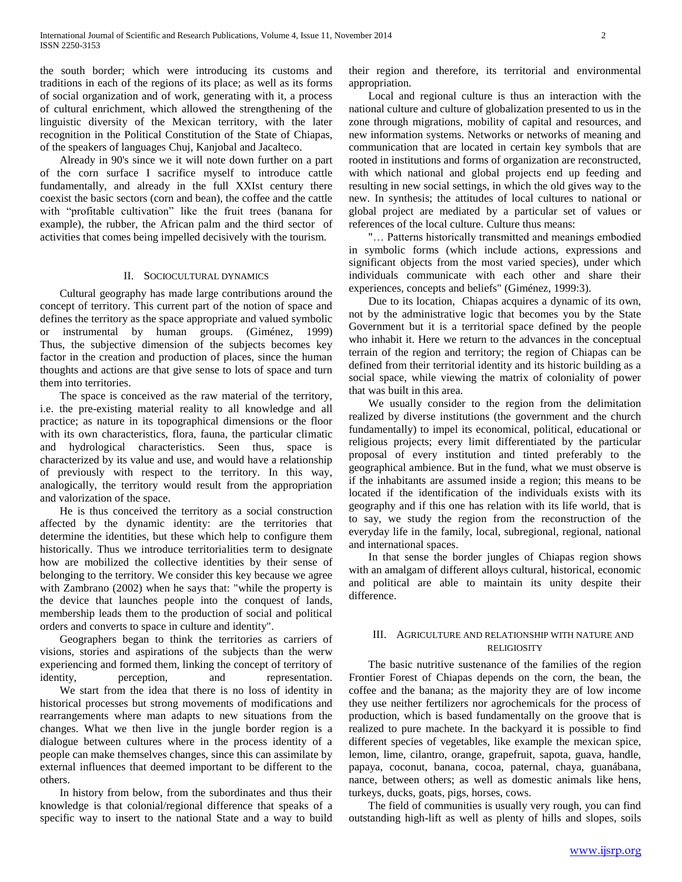the south border; which were introducing its customs and traditions in each of the regions of its place; as well as its forms of social organization and of work, generating with it, a process of cultural enrichment, which allowed the strengthening of the linguistic diversity of the Mexican territory, with the later recognition in the Political Constitution of the State of Chiapas, of the speakers of languages Chuj, Kanjobal and Jacalteco.

 Already in 90's since we it will note down further on a part of the corn surface I sacrifice myself to introduce cattle fundamentally, and already in the full XXIst century there coexist the basic sectors (corn and bean), the coffee and the cattle with "profitable cultivation" like the fruit trees (banana for example), the rubber, the African palm and the third sector of activities that comes being impelled decisively with the tourism.

#### II. SOCIOCULTURAL DYNAMICS

 Cultural geography has made large contributions around the concept of territory. This current part of the notion of space and defines the territory as the space appropriate and valued symbolic or instrumental by human groups. (Giménez, 1999) Thus, the subjective dimension of the subjects becomes key factor in the creation and production of places, since the human thoughts and actions are that give sense to lots of space and turn them into territories.

 The space is conceived as the raw material of the territory, i.e. the pre-existing material reality to all knowledge and all practice; as nature in its topographical dimensions or the floor with its own characteristics, flora, fauna, the particular climatic and hydrological characteristics. Seen thus, space is characterized by its value and use, and would have a relationship of previously with respect to the territory. In this way, analogically, the territory would result from the appropriation and valorization of the space.

 He is thus conceived the territory as a social construction affected by the dynamic identity: are the territories that determine the identities, but these which help to configure them historically. Thus we introduce territorialities term to designate how are mobilized the collective identities by their sense of belonging to the territory. We consider this key because we agree with Zambrano (2002) when he says that: "while the property is the device that launches people into the conquest of lands, membership leads them to the production of social and political orders and converts to space in culture and identity".

 Geographers began to think the territories as carriers of visions, stories and aspirations of the subjects than the werw experiencing and formed them, linking the concept of territory of identity, perception, and representation. We start from the idea that there is no loss of identity in historical processes but strong movements of modifications and rearrangements where man adapts to new situations from the changes. What we then live in the jungle border region is a dialogue between cultures where in the process identity of a people can make themselves changes, since this can assimilate by external influences that deemed important to be different to the others.

 In history from below, from the subordinates and thus their knowledge is that colonial/regional difference that speaks of a specific way to insert to the national State and a way to build their region and therefore, its territorial and environmental appropriation.

 Local and regional culture is thus an interaction with the national culture and culture of globalization presented to us in the zone through migrations, mobility of capital and resources, and new information systems. Networks or networks of meaning and communication that are located in certain key symbols that are rooted in institutions and forms of organization are reconstructed, with which national and global projects end up feeding and resulting in new social settings, in which the old gives way to the new. In synthesis; the attitudes of local cultures to national or global project are mediated by a particular set of values or references of the local culture. Culture thus means:

 "… Patterns historically transmitted and meanings embodied in symbolic forms (which include actions, expressions and significant objects from the most varied species), under which individuals communicate with each other and share their experiences, concepts and beliefs" (Giménez, 1999:3).

 Due to its location, Chiapas acquires a dynamic of its own, not by the administrative logic that becomes you by the State Government but it is a territorial space defined by the people who inhabit it. Here we return to the advances in the conceptual terrain of the region and territory; the region of Chiapas can be defined from their territorial identity and its historic building as a social space, while viewing the matrix of coloniality of power that was built in this area.

 We usually consider to the region from the delimitation realized by diverse institutions (the government and the church fundamentally) to impel its economical, political, educational or religious projects; every limit differentiated by the particular proposal of every institution and tinted preferably to the geographical ambience. But in the fund, what we must observe is if the inhabitants are assumed inside a region; this means to be located if the identification of the individuals exists with its geography and if this one has relation with its life world, that is to say, we study the region from the reconstruction of the everyday life in the family, local, subregional, regional, national and international spaces.

 In that sense the border jungles of Chiapas region shows with an amalgam of different alloys cultural, historical, economic and political are able to maintain its unity despite their difference.

#### III. AGRICULTURE AND RELATIONSHIP WITH NATURE AND RELIGIOSITY

 The basic nutritive sustenance of the families of the region Frontier Forest of Chiapas depends on the corn, the bean, the coffee and the banana; as the majority they are of low income they use neither fertilizers nor agrochemicals for the process of production, which is based fundamentally on the groove that is realized to pure machete. In the backyard it is possible to find different species of vegetables, like example the mexican spice, lemon, lime, cilantro, orange, grapefruit, sapota, guava, handle, papaya, coconut, banana, cocoa, paternal, chaya, guanábana, nance, between others; as well as domestic animals like hens, turkeys, ducks, goats, pigs, horses, cows.

 The field of communities is usually very rough, you can find outstanding high-lift as well as plenty of hills and slopes, soils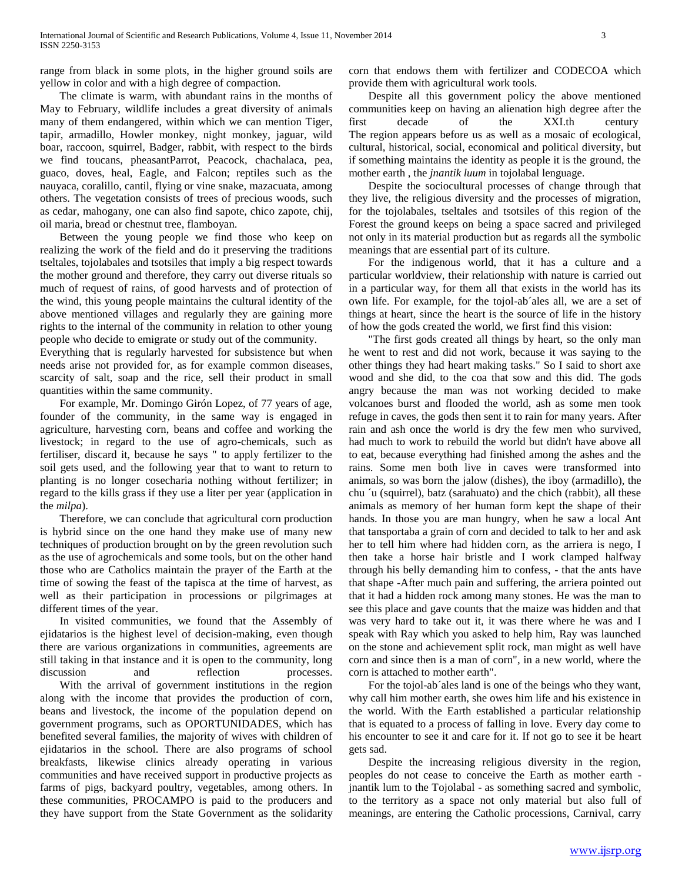range from black in some plots, in the higher ground soils are yellow in color and with a high degree of compaction.

 The climate is warm, with abundant rains in the months of May to February, wildlife includes a great diversity of animals many of them endangered, within which we can mention Tiger, tapir, armadillo, Howler monkey, night monkey, jaguar, wild boar, raccoon, squirrel, Badger, rabbit, with respect to the birds we find toucans, pheasantParrot, Peacock, chachalaca, pea, guaco, doves, heal, Eagle, and Falcon; reptiles such as the nauyaca, coralillo, cantil, flying or vine snake, mazacuata, among others. The vegetation consists of trees of precious woods, such as cedar, mahogany, one can also find sapote, chico zapote, chij, oil maria, bread or chestnut tree, flamboyan.

 Between the young people we find those who keep on realizing the work of the field and do it preserving the traditions tseltales, tojolabales and tsotsiles that imply a big respect towards the mother ground and therefore, they carry out diverse rituals so much of request of rains, of good harvests and of protection of the wind, this young people maintains the cultural identity of the above mentioned villages and regularly they are gaining more rights to the internal of the community in relation to other young people who decide to emigrate or study out of the community.

Everything that is regularly harvested for subsistence but when needs arise not provided for, as for example common diseases, scarcity of salt, soap and the rice, sell their product in small quantities within the same community.

 For example, Mr. Domingo Girón Lopez, of 77 years of age, founder of the community, in the same way is engaged in agriculture, harvesting corn, beans and coffee and working the livestock; in regard to the use of agro-chemicals, such as fertiliser, discard it, because he says " to apply fertilizer to the soil gets used, and the following year that to want to return to planting is no longer cosecharia nothing without fertilizer; in regard to the kills grass if they use a liter per year (application in the *milpa*).

 Therefore, we can conclude that agricultural corn production is hybrid since on the one hand they make use of many new techniques of production brought on by the green revolution such as the use of agrochemicals and some tools, but on the other hand those who are Catholics maintain the prayer of the Earth at the time of sowing the feast of the tapisca at the time of harvest, as well as their participation in processions or pilgrimages at different times of the year.

 In visited communities, we found that the Assembly of ejidatarios is the highest level of decision-making, even though there are various organizations in communities, agreements are still taking in that instance and it is open to the community, long discussion and reflection processes. With the arrival of government institutions in the region

along with the income that provides the production of corn, beans and livestock, the income of the population depend on government programs, such as OPORTUNIDADES, which has benefited several families, the majority of wives with children of ejidatarios in the school. There are also programs of school breakfasts, likewise clinics already operating in various communities and have received support in productive projects as farms of pigs, backyard poultry, vegetables, among others. In these communities, PROCAMPO is paid to the producers and they have support from the State Government as the solidarity corn that endows them with fertilizer and CODECOA which provide them with agricultural work tools.

 Despite all this government policy the above mentioned communities keep on having an alienation high degree after the first decade of the XXI.th century The region appears before us as well as a mosaic of ecological, cultural, historical, social, economical and political diversity, but if something maintains the identity as people it is the ground, the mother earth , the *jnantik luum* in tojolabal lenguage.

 Despite the sociocultural processes of change through that they live, the religious diversity and the processes of migration, for the tojolabales, tseltales and tsotsiles of this region of the Forest the ground keeps on being a space sacred and privileged not only in its material production but as regards all the symbolic meanings that are essential part of its culture.

 For the indigenous world, that it has a culture and a particular worldview, their relationship with nature is carried out in a particular way, for them all that exists in the world has its own life. For example, for the tojol-ab´ales all, we are a set of things at heart, since the heart is the source of life in the history of how the gods created the world, we first find this vision:

 "The first gods created all things by heart, so the only man he went to rest and did not work, because it was saying to the other things they had heart making tasks." So I said to short axe wood and she did, to the coa that sow and this did. The gods angry because the man was not working decided to make volcanoes burst and flooded the world, ash as some men took refuge in caves, the gods then sent it to rain for many years. After rain and ash once the world is dry the few men who survived, had much to work to rebuild the world but didn't have above all to eat, because everything had finished among the ashes and the rains. Some men both live in caves were transformed into animals, so was born the jalow (dishes), the iboy (armadillo), the chu ´u (squirrel), batz (sarahuato) and the chich (rabbit), all these animals as memory of her human form kept the shape of their hands. In those you are man hungry, when he saw a local Ant that tansportaba a grain of corn and decided to talk to her and ask her to tell him where had hidden corn, as the arriera is nego, I then take a horse hair bristle and I work clamped halfway through his belly demanding him to confess, - that the ants have that shape -After much pain and suffering, the arriera pointed out that it had a hidden rock among many stones. He was the man to see this place and gave counts that the maize was hidden and that was very hard to take out it, it was there where he was and I speak with Ray which you asked to help him, Ray was launched on the stone and achievement split rock, man might as well have corn and since then is a man of corn", in a new world, where the corn is attached to mother earth".

 For the tojol-ab´ales land is one of the beings who they want, why call him mother earth, she owes him life and his existence in the world. With the Earth established a particular relationship that is equated to a process of falling in love. Every day come to his encounter to see it and care for it. If not go to see it be heart gets sad.

 Despite the increasing religious diversity in the region, peoples do not cease to conceive the Earth as mother earth jnantik lum to the Tojolabal - as something sacred and symbolic, to the territory as a space not only material but also full of meanings, are entering the Catholic processions, Carnival, carry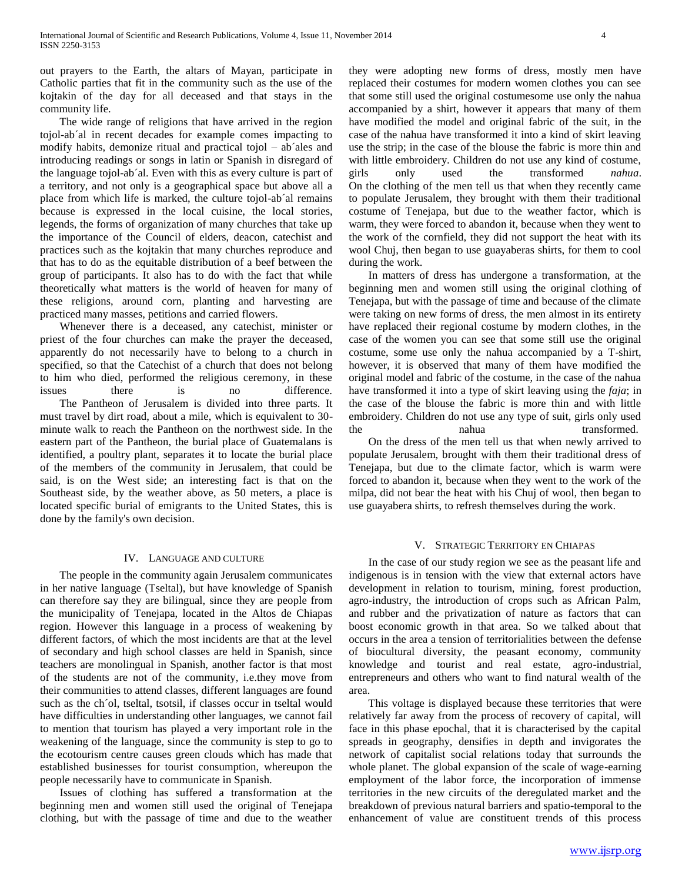out prayers to the Earth, the altars of Mayan, participate in Catholic parties that fit in the community such as the use of the kojtakin of the day for all deceased and that stays in the community life.

 The wide range of religions that have arrived in the region tojol-ab´al in recent decades for example comes impacting to modify habits, demonize ritual and practical tojol – ab´ales and introducing readings or songs in latin or Spanish in disregard of the language tojol-ab´al. Even with this as every culture is part of a territory, and not only is a geographical space but above all a place from which life is marked, the culture tojol-ab´al remains because is expressed in the local cuisine, the local stories, legends, the forms of organization of many churches that take up the importance of the Council of elders, deacon, catechist and practices such as the kojtakin that many churches reproduce and that has to do as the equitable distribution of a beef between the group of participants. It also has to do with the fact that while theoretically what matters is the world of heaven for many of these religions, around corn, planting and harvesting are practiced many masses, petitions and carried flowers.

 Whenever there is a deceased, any catechist, minister or priest of the four churches can make the prayer the deceased, apparently do not necessarily have to belong to a church in specified, so that the Catechist of a church that does not belong to him who died, performed the religious ceremony, in these issues there is no difference. The Pantheon of Jerusalem is divided into three parts. It must travel by dirt road, about a mile, which is equivalent to 30 minute walk to reach the Pantheon on the northwest side. In the eastern part of the Pantheon, the burial place of Guatemalans is identified, a poultry plant, separates it to locate the burial place of the members of the community in Jerusalem, that could be said, is on the West side; an interesting fact is that on the Southeast side, by the weather above, as 50 meters, a place is located specific burial of emigrants to the United States, this is done by the family's own decision.

#### IV. LANGUAGE AND CULTURE

 The people in the community again Jerusalem communicates in her native language (Tseltal), but have knowledge of Spanish can therefore say they are bilingual, since they are people from the municipality of Tenejapa, located in the Altos de Chiapas region. However this language in a process of weakening by different factors, of which the most incidents are that at the level of secondary and high school classes are held in Spanish, since teachers are monolingual in Spanish, another factor is that most of the students are not of the community, i.e.they move from their communities to attend classes, different languages are found such as the ch´ol, tseltal, tsotsil, if classes occur in tseltal would have difficulties in understanding other languages, we cannot fail to mention that tourism has played a very important role in the weakening of the language, since the community is step to go to the ecotourism centre causes green clouds which has made that established businesses for tourist consumption, whereupon the people necessarily have to communicate in Spanish.

 Issues of clothing has suffered a transformation at the beginning men and women still used the original of Tenejapa clothing, but with the passage of time and due to the weather they were adopting new forms of dress, mostly men have replaced their costumes for modern women clothes you can see that some still used the original costumesome use only the nahua accompanied by a shirt, however it appears that many of them have modified the model and original fabric of the suit, in the case of the nahua have transformed it into a kind of skirt leaving use the strip; in the case of the blouse the fabric is more thin and with little embroidery. Children do not use any kind of costume, girls only used the transformed *nahua*. On the clothing of the men tell us that when they recently came to populate Jerusalem, they brought with them their traditional costume of Tenejapa, but due to the weather factor, which is warm, they were forced to abandon it, because when they went to the work of the cornfield, they did not support the heat with its wool Chuj, then began to use guayaberas shirts, for them to cool during the work.

 In matters of dress has undergone a transformation, at the beginning men and women still using the original clothing of Tenejapa, but with the passage of time and because of the climate were taking on new forms of dress, the men almost in its entirety have replaced their regional costume by modern clothes, in the case of the women you can see that some still use the original costume, some use only the nahua accompanied by a T-shirt, however, it is observed that many of them have modified the original model and fabric of the costume, in the case of the nahua have transformed it into a type of skirt leaving using the *faja*; in the case of the blouse the fabric is more thin and with little embroidery. Children do not use any type of suit, girls only used the nahua transformed.

 On the dress of the men tell us that when newly arrived to populate Jerusalem, brought with them their traditional dress of Tenejapa, but due to the climate factor, which is warm were forced to abandon it, because when they went to the work of the milpa, did not bear the heat with his Chuj of wool, then began to use guayabera shirts, to refresh themselves during the work.

#### V. STRATEGIC TERRITORY EN CHIAPAS

 In the case of our study region we see as the peasant life and indigenous is in tension with the view that external actors have development in relation to tourism, mining, forest production, agro-industry, the introduction of crops such as African Palm, and rubber and the privatization of nature as factors that can boost economic growth in that area. So we talked about that occurs in the area a tension of territorialities between the defense of biocultural diversity, the peasant economy, community knowledge and tourist and real estate, agro-industrial, entrepreneurs and others who want to find natural wealth of the area.

 This voltage is displayed because these territories that were relatively far away from the process of recovery of capital, will face in this phase epochal, that it is characterised by the capital spreads in geography, densifies in depth and invigorates the network of capitalist social relations today that surrounds the whole planet. The global expansion of the scale of wage-earning employment of the labor force, the incorporation of immense territories in the new circuits of the deregulated market and the breakdown of previous natural barriers and spatio-temporal to the enhancement of value are constituent trends of this process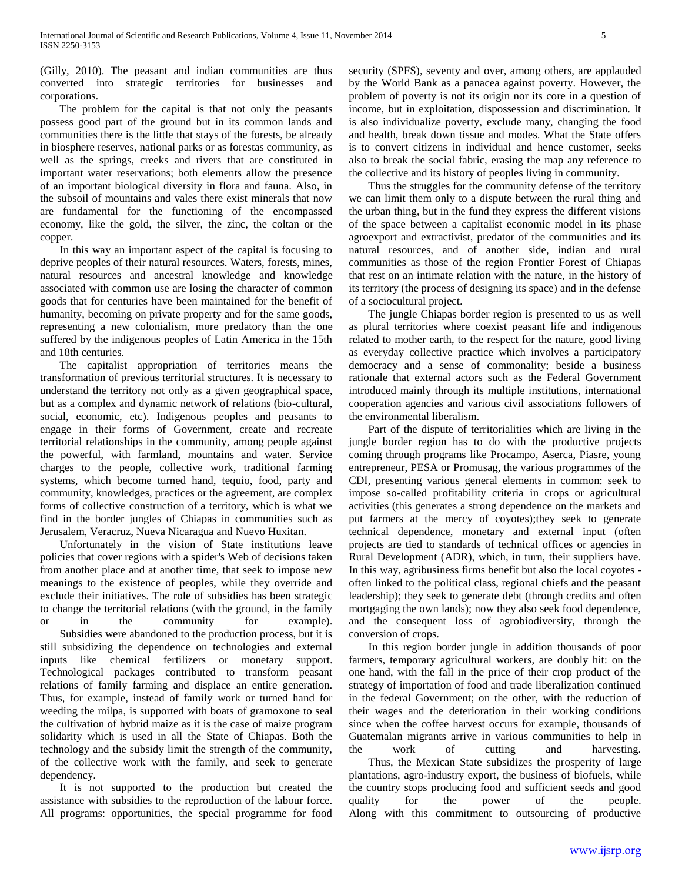(Gilly, 2010). The peasant and indian communities are thus converted into strategic territories for businesses and corporations.

 The problem for the capital is that not only the peasants possess good part of the ground but in its common lands and communities there is the little that stays of the forests, be already in biosphere reserves, national parks or as forestas community, as well as the springs, creeks and rivers that are constituted in important water reservations; both elements allow the presence of an important biological diversity in flora and fauna. Also, in the subsoil of mountains and vales there exist minerals that now are fundamental for the functioning of the encompassed economy, like the gold, the silver, the zinc, the coltan or the copper.

 In this way an important aspect of the capital is focusing to deprive peoples of their natural resources. Waters, forests, mines, natural resources and ancestral knowledge and knowledge associated with common use are losing the character of common goods that for centuries have been maintained for the benefit of humanity, becoming on private property and for the same goods, representing a new colonialism, more predatory than the one suffered by the indigenous peoples of Latin America in the 15th and 18th centuries.

 The capitalist appropriation of territories means the transformation of previous territorial structures. It is necessary to understand the territory not only as a given geographical space, but as a complex and dynamic network of relations (bio-cultural, social, economic, etc). Indigenous peoples and peasants to engage in their forms of Government, create and recreate territorial relationships in the community, among people against the powerful, with farmland, mountains and water. Service charges to the people, collective work, traditional farming systems, which become turned hand, tequio, food, party and community, knowledges, practices or the agreement, are complex forms of collective construction of a territory, which is what we find in the border jungles of Chiapas in communities such as Jerusalem, Veracruz, Nueva Nicaragua and Nuevo Huxitan.

 Unfortunately in the vision of State institutions leave policies that cover regions with a spider's Web of decisions taken from another place and at another time, that seek to impose new meanings to the existence of peoples, while they override and exclude their initiatives. The role of subsidies has been strategic to change the territorial relations (with the ground, in the family or in the community for example).

 Subsidies were abandoned to the production process, but it is still subsidizing the dependence on technologies and external inputs like chemical fertilizers or monetary support. Technological packages contributed to transform peasant relations of family farming and displace an entire generation. Thus, for example, instead of family work or turned hand for weeding the milpa, is supported with boats of gramoxone to seal the cultivation of hybrid maize as it is the case of maize program solidarity which is used in all the State of Chiapas. Both the technology and the subsidy limit the strength of the community, of the collective work with the family, and seek to generate dependency.

 It is not supported to the production but created the assistance with subsidies to the reproduction of the labour force. All programs: opportunities, the special programme for food security (SPFS), seventy and over, among others, are applauded by the World Bank as a panacea against poverty. However, the problem of poverty is not its origin nor its core in a question of income, but in exploitation, dispossession and discrimination. It is also individualize poverty, exclude many, changing the food and health, break down tissue and modes. What the State offers is to convert citizens in individual and hence customer, seeks also to break the social fabric, erasing the map any reference to the collective and its history of peoples living in community.

 Thus the struggles for the community defense of the territory we can limit them only to a dispute between the rural thing and the urban thing, but in the fund they express the different visions of the space between a capitalist economic model in its phase agroexport and extractivist, predator of the communities and its natural resources, and of another side, indian and rural communities as those of the region Frontier Forest of Chiapas that rest on an intimate relation with the nature, in the history of its territory (the process of designing its space) and in the defense of a sociocultural project.

 The jungle Chiapas border region is presented to us as well as plural territories where coexist peasant life and indigenous related to mother earth, to the respect for the nature, good living as everyday collective practice which involves a participatory democracy and a sense of commonality; beside a business rationale that external actors such as the Federal Government introduced mainly through its multiple institutions, international cooperation agencies and various civil associations followers of the environmental liberalism.

 Part of the dispute of territorialities which are living in the jungle border region has to do with the productive projects coming through programs like Procampo, Aserca, Piasre, young entrepreneur, PESA or Promusag, the various programmes of the CDI, presenting various general elements in common: seek to impose so-called profitability criteria in crops or agricultural activities (this generates a strong dependence on the markets and put farmers at the mercy of coyotes);they seek to generate technical dependence, monetary and external input (often projects are tied to standards of technical offices or agencies in Rural Development (ADR), which, in turn, their suppliers have. In this way, agribusiness firms benefit but also the local coyotes often linked to the political class, regional chiefs and the peasant leadership); they seek to generate debt (through credits and often mortgaging the own lands); now they also seek food dependence, and the consequent loss of agrobiodiversity, through the conversion of crops.

 In this region border jungle in addition thousands of poor farmers, temporary agricultural workers, are doubly hit: on the one hand, with the fall in the price of their crop product of the strategy of importation of food and trade liberalization continued in the federal Government; on the other, with the reduction of their wages and the deterioration in their working conditions since when the coffee harvest occurs for example, thousands of Guatemalan migrants arrive in various communities to help in the work of cutting and harvesting.

 Thus, the Mexican State subsidizes the prosperity of large plantations, agro-industry export, the business of biofuels, while the country stops producing food and sufficient seeds and good quality for the power of the people. Along with this commitment to outsourcing of productive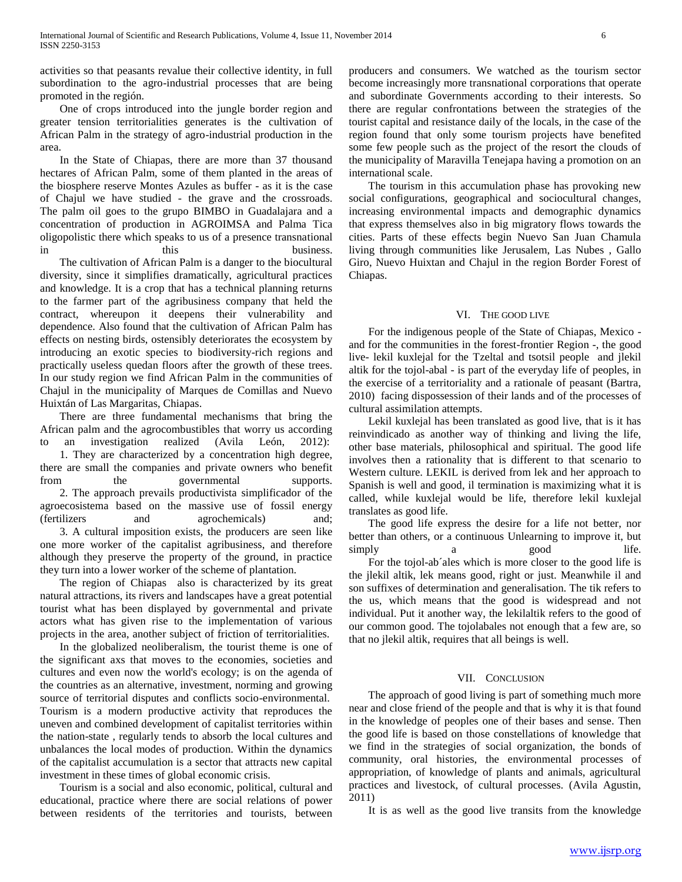activities so that peasants revalue their collective identity, in full subordination to the agro-industrial processes that are being promoted in the región.

 One of crops introduced into the jungle border region and greater tension territorialities generates is the cultivation of African Palm in the strategy of agro-industrial production in the area.

 In the State of Chiapas, there are more than 37 thousand hectares of African Palm, some of them planted in the areas of the biosphere reserve Montes Azules as buffer - as it is the case of Chajul we have studied - the grave and the crossroads. The palm oil goes to the grupo BIMBO in Guadalajara and a concentration of production in AGROIMSA and Palma Tica oligopolistic there which speaks to us of a presence transnational in this this business.

 The cultivation of African Palm is a danger to the biocultural diversity, since it simplifies dramatically, agricultural practices and knowledge. It is a crop that has a technical planning returns to the farmer part of the agribusiness company that held the contract, whereupon it deepens their vulnerability and dependence. Also found that the cultivation of African Palm has effects on nesting birds, ostensibly deteriorates the ecosystem by introducing an exotic species to biodiversity-rich regions and practically useless quedan floors after the growth of these trees. In our study region we find African Palm in the communities of Chajul in the municipality of Marques de Comillas and Nuevo Huixtán of Las Margaritas, Chiapas.

 There are three fundamental mechanisms that bring the African palm and the agrocombustibles that worry us according to an investigation realized (Avila León, 2012): 1. They are characterized by a concentration high degree, there are small the companies and private owners who benefit from the governmental supports. 2. The approach prevails productivista simplificador of the agroecosistema based on the massive use of fossil energy (fertilizers and agrochemicals) and; 3. A cultural imposition exists, the producers are seen like one more worker of the capitalist agribusiness, and therefore although they preserve the property of the ground, in practice they turn into a lower worker of the scheme of plantation.

 The region of Chiapas also is characterized by its great natural attractions, its rivers and landscapes have a great potential tourist what has been displayed by governmental and private actors what has given rise to the implementation of various projects in the area, another subject of friction of territorialities.

 In the globalized neoliberalism, the tourist theme is one of the significant axs that moves to the economies, societies and cultures and even now the world's ecology; is on the agenda of the countries as an alternative, investment, norming and growing source of territorial disputes and conflicts socio-environmental. Tourism is a modern productive activity that reproduces the uneven and combined development of capitalist territories within the nation-state , regularly tends to absorb the local cultures and unbalances the local modes of production. Within the dynamics of the capitalist accumulation is a sector that attracts new capital investment in these times of global economic crisis.

 Tourism is a social and also economic, political, cultural and educational, practice where there are social relations of power between residents of the territories and tourists, between producers and consumers. We watched as the tourism sector become increasingly more transnational corporations that operate and subordinate Governments according to their interests. So there are regular confrontations between the strategies of the tourist capital and resistance daily of the locals, in the case of the region found that only some tourism projects have benefited some few people such as the project of the resort the clouds of the municipality of Maravilla Tenejapa having a promotion on an international scale.

 The tourism in this accumulation phase has provoking new social configurations, geographical and sociocultural changes, increasing environmental impacts and demographic dynamics that express themselves also in big migratory flows towards the cities. Parts of these effects begin Nuevo San Juan Chamula living through communities like Jerusalem, Las Nubes , Gallo Giro, Nuevo Huixtan and Chajul in the region Border Forest of Chiapas.

#### VI. THE GOOD LIVE

 For the indigenous people of the State of Chiapas, Mexico and for the communities in the forest-frontier Region -, the good live- lekil kuxlejal for the Tzeltal and tsotsil people and jlekil altik for the tojol-abal - is part of the everyday life of peoples, in the exercise of a territoriality and a rationale of peasant (Bartra, 2010) facing dispossession of their lands and of the processes of cultural assimilation attempts.

 Lekil kuxlejal has been translated as good live, that is it has reinvindicado as another way of thinking and living the life, other base materials, philosophical and spiritual. The good life involves then a rationality that is different to that scenario to Western culture. LEKIL is derived from lek and her approach to Spanish is well and good, il termination is maximizing what it is called, while kuxlejal would be life, therefore lekil kuxlejal translates as good life.

 The good life express the desire for a life not better, nor better than others, or a continuous Unlearning to improve it, but simply a good life. For the tojol-ab´ales which is more closer to the good life is the jlekil altik, lek means good, right or just. Meanwhile il and son suffixes of determination and generalisation. The tik refers to the us, which means that the good is widespread and not individual. Put it another way, the lekilaltik refers to the good of our common good. The tojolabales not enough that a few are, so that no jlekil altik, requires that all beings is well.

#### VII. CONCLUSION

 The approach of good living is part of something much more near and close friend of the people and that is why it is that found in the knowledge of peoples one of their bases and sense. Then the good life is based on those constellations of knowledge that we find in the strategies of social organization, the bonds of community, oral histories, the environmental processes of appropriation, of knowledge of plants and animals, agricultural practices and livestock, of cultural processes. (Avila Agustin, 2011)

It is as well as the good live transits from the knowledge